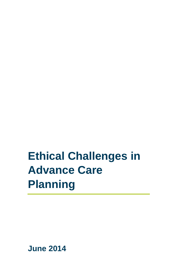# **Ethical Challenges in Advance Care Planning**

**June 2014**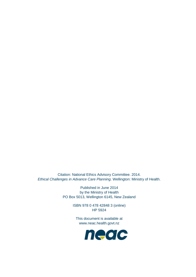Citation: National Ethics Advisory Committee. 2014. *Ethical Challenges in Advance Care Planning*. Wellington: Ministry of Health.

> Published in June 2014 by the Ministry of Health PO Box 5013, Wellington 6145, New Zealand

> > ISBN 978 0 478 42848 3 (online) HP 5924

This document is available at [www.neac.health.govt.nz](http://www.neac.health.govt.nz/)

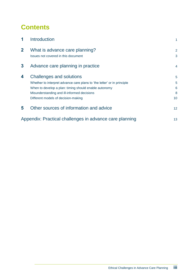# **Contents**

| 1                                                       | Introduction                                                                                                                                                                                                                                              |                        |
|---------------------------------------------------------|-----------------------------------------------------------------------------------------------------------------------------------------------------------------------------------------------------------------------------------------------------------|------------------------|
| $\mathbf{2}$                                            | What is advance care planning?<br>Issues not covered in this document                                                                                                                                                                                     | 2<br>3                 |
| 3                                                       | Advance care planning in practice                                                                                                                                                                                                                         | $\overline{4}$         |
| 4                                                       | <b>Challenges and solutions</b><br>Whether to interpret advance care plans to 'the letter' or in principle<br>When to develop a plan: timing should enable autonomy<br>Misunderstanding and ill-informed decisions<br>Different models of decision-making | 5<br>5<br>6<br>8<br>10 |
| 5                                                       | Other sources of information and advice                                                                                                                                                                                                                   | 12 <sup>2</sup>        |
| Appendix: Practical challenges in advance care planning |                                                                                                                                                                                                                                                           | 13                     |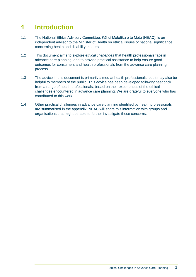# **1 Introduction**

- 1.1 The National Ethics Advisory Committee, Kāhui Matatika o te Motu (NEAC), is an independent advisor to the Minister of Health on ethical issues of national significance concerning health and disability matters.
- 1.2 This document aims to explore *ethical challenges* that health professionals face in advance care planning, and to provide practical assistance to help ensure good outcomes for consumers and health professionals from the advance care planning process.
- 1.3 The advice in this document is primarily aimed at health professionals, but it may also be helpful to members of the public. This advice has been developed following feedback from a range of health professionals, based on their experiences of the ethical challenges encountered in advance care planning. We are grateful to everyone who has contributed to this work.
- 1.4 Other practical challenges in advance care planning identified by health professionals are summarised in the appendix. NEAC will share this information with groups and organisations that might be able to further investigate these concerns.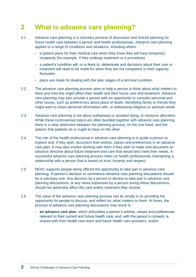# **2 What is advance care planning?**

- 2.1 Advance care planning is a voluntary process of discussion and shared planning for future health care between a person and health professionals. Advance care planning applies to a range of conditions and situations, including where:
	- a patient plans for their medical care when they know they will have temporary incapacity (for example, if they undergo treatment or a procedure)
	- a patient's condition will, or is likely to, deteriorate and decisions about their care or treatment will need to be made for when they are not competent or their capacity fluctuates
	- plans are made for dealing with the later stages of a terminal condition.
- 2.2 The advance care planning process aims to help a person to think about what matters to them and how this might affect their health and their future care and treatment. Advance care planning may also provide a person with an opportunity to consider personal and other issues, such as preferences about place of death, identifying family or friends they might want to share personal information with, or addressing religious or spiritual needs.
- 2.3 Advance care planning is not about euthanasia or assisted dying, or resource allocation. While these controversial topics are often bundled together with advance care planning, there is a clear distinction between the planning process, on the one hand, and the options that patients do or ought to have on the other.
- 2.4 The role of the health professional in advance care planning is to guide a person to explore and, if they wish, document their wishes, values and preferences in an advance care plan. It may also involve working with them if they wish to make and document an advance directive about future treatment and care that would best meet their needs. A successful advance care planning process relies on health professionals maintaining a relationship with a person that is based on trust, honesty and respect.
- 2.5 NEAC supports people being offered the opportunity to take part in advance care planning. A person's decision to commence advance care planning discussions should be a voluntary one. Any decision by a person to decline to take part in advance care planning discussions, or any views expressed by a person during these discussions, should not adversely affect the care and/or treatment they receive.
- 2.6 The value of the advance care planning process can lie simply in its providing the opportunity for people to discuss, and reflect on, what matters to them. At times, the process of advance care planning discussions may result in:
	- **an advance care plan**, which articulates a person's wishes, values and preferences relevant to their current and future health care, and, with the person's consent, is shared with their health care team and future health care providers, and/or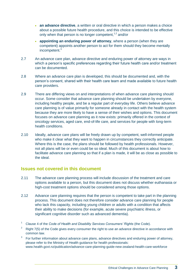- **an advance directive**, a written or oral directive in which a person makes a choice about a possible future health procedure, and this choice is intended to be effective only when that person is no longer competent,<sup>1,2</sup> and/or
- **appointing an enduring power of attorney**, where a person (when they are competent) appoints another person to act for them should they become mentally incompetent.<sup>3</sup>
- 2.7 An advance care plan, advance directive and enduring power of attorney are ways in which a person's specific preferences regarding their future health care and/or treatment can be documented.
- 2.8 Where an advance care plan is developed, this should be documented and, with the person's consent, shared with their health care team and made available to future health care providers.
- 2.9 There are differing views on and interpretations of when advance care planning should occur. Some consider that advance care planning should be undertaken by everyone, including healthy people, and be a regular part of everyday life. Others believe advance care planning is of value primarily for someone already in contact with the health system because they are more likely to have a sense of their wishes and options. This document focuses on advance care planning as it now exists: primarily offered in the context of oncology services, aged care, end-of-life care, and services for people with long-term health conditions.
- 2.10 Ideally, advance care plans will be freely drawn up by competent, well-informed people who make it clear what they want to happen in circumstances they correctly anticipate. Where this is the case, the plans should be followed by health professionals. However, not all plans will be or even could be so ideal. Much of this document is about how to facilitate advance care planning so that if a plan is made, it will be as close as possible to the ideal.

### **Issues not covered in this document**

- 2.11 The advance care planning process will include discussion of the treatment and care options available to a person, but this document does not discuss whether euthanasia or high-cost treatment options should be considered among those options.
- 2.12 Advance care planning requires that the person is competent to take part in the planning process. This document does not therefore consider advance care planning for people who lack this capacity, including young children or adults with a condition that affects their ability to make decisions (for example, acute severe psychiatric illness, or significant cognitive disorder such as advanced dementia).

- <sup>2</sup> Right 7(5) of the Code gives every consumer the right to use an advance directive in accordance with common law.
- 3 For further information about advance care plans, advance directives and enduring power of attorney, please refer to the Ministry of Health guidance for health professionals: [www.health.govt.nz/publication/advance-care-planning-guide-new-zealand-health-care-workforce](http://www.health.govt.nz/publication/advance-care-planning-guide-new-zealand-health-care-workforce)

<sup>1</sup> Clause 4 of the *Code of Health and Disability Services Consumers' Rights* (the Code).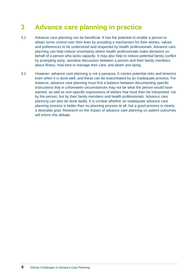# **3 Advance care planning in practice**

- 3.1 Advance care planning can be beneficial. It has the potential to enable a person to obtain some control over their lives by providing a mechanism for their wishes, values and preferences to be understood and respected by health professionals. Advance care planning can help reduce uncertainty where health professionals make decisions on behalf of a person who lacks capacity. It may also help to reduce potential family conflict by prompting early, sensitive discussion between a person and their family members about illness, how best to manage their care, and death and dying.
- 3.2 However, advance care planning is not a panacea. It carries potential risks and tensions even when it is done well, and these can be exacerbated by an inadequate process. For instance, advance care planning must find a balance between documenting specific instructions that in unforeseen circumstances may not be what the person would have wanted, as well as non-specific expressions of wishes that must then be interpreted, not by the person, but by their family members and health professionals. Advance care planning can also be done badly. It is unclear whether an inadequate advance care planning process is better than no planning process at all, but a good process is clearly a desirable goal. Research on the impact of advance care planning on patient outcomes will inform this debate.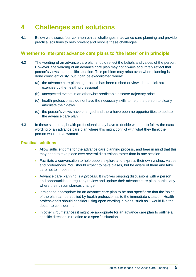# **4 Challenges and solutions**

4.1 Below we discuss four common ethical challenges in advance care planning and provide practical solutions to help prevent and resolve these challenges.

### **Whether to interpret advance care plans to 'the letter' or in principle**

- 4.2 The wording of an advance care plan should reflect the beliefs and values of the person. However, the wording of an advance care plan may not always accurately reflect that person's views in a specific situation. This problem may arise even when planning is done conscientiously, but it can be exacerbated where:
	- (a) the advance care planning process has been rushed or viewed as a 'tick box' exercise by the health professional
	- (b) unexpected events in an otherwise predictable disease trajectory arise
	- (c) health professionals do not have the necessary skills to help the person to clearly articulate their views
	- (d) the person's views have changed and there have been no opportunities to update the advance care plan.
- 4.3 In these situations, health professionals may have to decide whether to follow the exact wording of an advance care plan where this might conflict with what they think the person would have wanted.

- Allow sufficient time for the advance care planning process, and bear in mind that this may need to take place over several discussions rather than in one session.
- Facilitate a conversation to help people explore and express their own wishes, values and preferences. You should expect to have biases, but be aware of them and take care not to impose them.
- Advance care planning is a *process*. It involves ongoing discussions with a person and opportunities to regularly review and update their advance care plan, particularly where their circumstances change.
- It might be appropriate for an advance care plan to be non-specific so that the 'spirit' of the plan can be applied by health professionals to the immediate situation. Health professionals should consider using open wording in plans, such as 'I would like the doctor to consider ...'.
- In other circumstances it might be appropriate for an advance care plan to outline a specific direction in relation to a specific situation.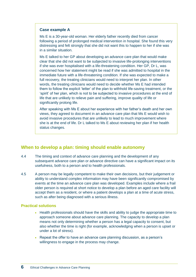#### **Case example A**

Ms E is a 30-year-old woman. Her elderly father recently died from cancer following a period of prolonged medical intervention in hospital. She found this very distressing and felt strongly that she did not want this to happen to her if she was in a similar situation.

Ms E talked to her GP about developing an advance care plan that would make clear that she did not want to be subjected to invasive life-prolonging interventions if she was ever hospitalised with a life-threatening condition. Her GP, Dr L, was concerned how her statement might be read if she was admitted to hospital in the immediate future with a life-threatening condition. If she was expected to make a full recovery, the treating clinicians would need to interpret her plan. In other words, the treating clinicians would need to decide whether Ms E had intended them to follow the explicit 'letter' of the plan to withhold life-saving treatment, or the 'spirit' of her plan, which is not to be subjected to invasive procedures at the end of life that are unlikely to relieve pain and suffering, improve quality of life or significantly prolong life.

After speaking with Ms E about her experience with her father's death and her own views, they agreed to document in an advance care plan that Ms E would wish to avoid invasive procedures that are unlikely to lead to much improvement where she is at the end of life. Dr L talked to Ms E about reviewing her plan if her health status changes.

### **When to develop a plan: timing should enable autonomy**

- 4.4 The timing and context of advance care planning and the development of any subsequent advance care plan or advance directive can have a significant impact on its usefulness, both to a person and to health professionals.
- 4.5 A person may be legally competent to make their own decisions, but their judgement or ability to understand complex information may have been significantly compromised by events at the time an advance care plan was developed. Examples include where a frail older person is required at short notice to develop a plan before an aged care facility will accept them as a resident, or where a patient develops a plan at a time of acute stress, such as after being diagnosed with a serious illness.

- Health professionals should have the skills and ability to judge the appropriate time to approach someone about advance care planning. The capacity to develop a plan means not only determining whether a person has a legal capacity to consent, but also whether the time is right (for example, acknowledging when a person is upset or under a lot of stress).
- Repeat the offer to have an advance care planning discussion, as a person's willingness to engage in the process may change.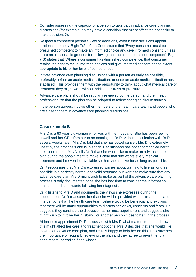- Consider assessing the capacity of a person to take part in advance care planning discussions (for example, do they have a condition that might affect their capacity to make decisions?).
- Respect a competent person's view or decisions, even if their decisions appear irrational to others. Right 7(2) of the Code states that 'Every consumer must be presumed competent to make an informed choice and give informed consent, unless there are reasonable grounds for believing that the consumer is not competent'. Right 7(3) states that 'Where a consumer has diminished competence, that consumer retains the right to make informed choices and give informed consent, to the extent appropriate to his or her level of competence'.
- Initiate advance care planning discussions with a person as early as possible, preferably before an acute medical situation, or once an acute medical situation has stabilised. This provides them with the opportunity to think about what medical care or treatment they might want without additional stress or pressure.
- Advance care plans should be regularly reviewed by the person and their health professional so that the plan can be adapted to reflect changing circumstances.
- If the person agrees, involve other members of the health care team and people who are close to them in advance care planning discussions.

#### **Case example B**

Mrs D is a 60-year-old woman who lives with her husband. She has been feeling unwell and her GP refers her to an oncologist, Dr R. At her consultation with Dr R several weeks later, Mrs D is told that she has bowel cancer. Mrs D is extremely upset by the prognosis and is in shock. Her husband has not accompanied her to the appointment. Mrs D tells Dr R that she would like to make an advance care plan during the appointment to make it clear that she wants every medical treatment and intervention available so that she can live for as long as possible.

Dr R recognises that Mrs D's expressed wishes about wanting to live as long as possible is a perfectly normal and valid response but wants to make sure that any advance care plan Mrs D might wish to make as part of the advance care planning process is only documented once she has had time to consider the information that she needs and wants following her diagnosis.

Dr R listens to Mrs D and documents the views she expresses during the appointment. Dr R reassures her that she will be provided with all treatments and interventions that the health care team believe would be beneficial and explains that there will be many opportunities to discuss her views, concerns and fears. He suggests they continue the discussion at her next appointment and suggests she might wish to involve her husband, or another person close to her, in the process.

At her next appointment Dr R discusses with Mrs D what matters to her and how this might affect her care and treatment options. Mrs D decides that she would like to write an advance care plan, and Dr R is happy to help her do this. Dr R stresses the importance of regularly reviewing the plan and they agree to revisit her plan each month, or earlier if she wishes.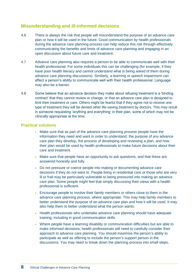### **Misunderstanding and ill-informed decisions**

- 4.6 There is always the risk that people will misunderstand the purpose of an advance care plan or how it will be used in the future. Good communication by health professionals during the advance care planning process can help reduce this risk through effectively communicating the benefits and limits of advance care planning and engaging in an open discussion about future care and treatment.
- 4.7 Advance care planning also requires a person to be able to communicate well with their health professional. For some individuals this can be challenging (for example, if they have poor health literacy and cannot understand what is being asked of them during advance care planning discussions). Similarly, a learning or speech impairment can affect a person's ability to communicate well with their health professional. Language may also be a barrier.
- 4.8 Some believe that an advance decision they make about refusing treatment is a 'binding contract' that they cannot review or change, or that an advance care plan is designed to limit their treatment or care. Others might be fearful that if they agree not to receive one type of treatment they will be denied other life-saving treatment by doctors. This may result in someone requesting 'anything and everything' in their plan, some of which may not be clinically appropriate at the time.

- Make sure that as part of the advance care planning process people have the information they need and want in order to understand: the purpose of any advance care plan they develop, the process of developing and reviewing a plan, and how their plan would be used by health professionals to make future decisions about their care and treatment.
- Make sure that people have an opportunity to ask questions, and that these are answered honestly and fully.
- Do not pressure or coerce people into making or documenting advance care decisions if they do not want to. People living in residential care or those who are very ill or frail may be particularly vulnerable to being pressured into making an advance care plan. Some people might feel that simply discussing their views with a health professional is sufficient.
- Encourage people to involve their family members or others close to them in the advance care planning process, where appropriate. This may help family members to better understand the purpose of an advance care plan and how it will be used. It may also help them to better understand what the person wants.
- Health professionals who undertake advance care planning should have adequate training, including in good communication skills.
- Where people have a learning disability or communication difficulties but are able to make informed decisions, health professionals will need to carefully consider their approach to advance care planning. You should maximise the person's ability to participate as well as offering to include the person's support person in the discussions. You may need to break down the planning process into small steps,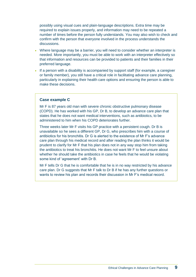possibly using visual cues and plain-language descriptions. Extra time may be required to explain issues properly, and information may need to be repeated a number of times before the person fully understands. You may also wish to check and confirm with the person that everyone involved in the process understands the discussions.

- Where language may be a barrier, you will need to consider whether an interpreter is needed. More importantly, you must be able to work with an interpreter effectively so that information and resources can be provided to patients and their families in their preferred language.
- If a person with a disability is accompanied by support staff (for example, a caregiver or family member), you still have a critical role in facilitating advance care planning, particularly in explaining their health care options and ensuring the person is able to make these decisions.

#### **Case example C**

Mr F is 87 years old man with severe chronic obstructive pulmonary disease (COPD). He has worked with his GP, Dr B, to develop an advance care plan that states that he does not want medical interventions, such as antibiotics, to be administered to him when his COPD deteriorates further.

Three weeks later Mr F visits his GP practice with a persistent cough. Dr B is unavailable so he sees a different GP, Dr G, who prescribes him with a course of antibiotics for his bronchitis. Dr G is alerted to the existence of Mr F's advance care plan through his medical record and after reading the plan thinks it would be prudent to clarify for Mr F that his plan does not in any way stop him from taking the antibiotics to treat his bronchitis. He does not want Mr F to feel unsure about whether he should take the antibiotics in case he feels that he would be violating some kind of 'agreement' with Dr B.

Mr F tells Dr G that he is comfortable that he is in no way restricted by his advance care plan. Dr G suggests that Mr F talk to Dr B if he has any further questions or wants to review his plan and records their discussion in Mr F's medical record.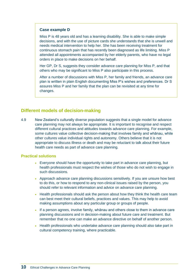#### **Case example D**

Miss P is 48 years old and has a learning disability. She is able to make simple decisions, and with the use of picture cards she understands that she is unwell and needs medical intervention to help her. She has been receiving treatment for continuous stomach pain that has recently been diagnosed as life limiting. Miss P attended all appointments accompanied by her elderly parents, who have no legal orders in place to make decisions on her behalf.

Her GP, Dr S, suggests they consider advance care planning for Miss P, and that others who may be significant to Miss P also participate in this process.

After a number of discussions with Miss P, her family and friends, an advance care plan is written in plain English documenting Miss P's wishes and preferences. Dr S assures Miss P and her family that the plan can be revisited at any time for changes.

### **Different models of decision-making**

4.9 New Zealand's culturally diverse population suggests that a single model for advance care planning may not always be appropriate*.* It is important to recognise and respect different cultural practices and attitudes towards advance care planning. For example, some cultures value collective decision-making that involves family and whānau, while other cultures value individual rights and autonomy. Others believe that it is not appropriate to discuss illness or death and may be reluctant to talk about their future health care needs as part of advance care planning.

- Everyone should have the opportunity to take part in advance care planning, but health professionals must respect the wishes of those who do not wish to engage in such discussions.
- Approach advance care planning discussions sensitively. If you are unsure how best to do this, or how to respond to any non-clinical issues raised by the person, you should refer to relevant information and advice on advance care planning.
- Health professionals should ask the person about how they think the health care team can best meet their cultural beliefs, practices and values. This may help to avoid making assumptions about any particular group or groups of people.
- If a person agrees, involve family, whānau and others close to them in advance care planning discussions and in decision-making about future care and treatment. But remember that no one can make an advance directive on behalf of another person.
- Health professionals who undertake advance care planning should also take part in cultural competency training, where practicable.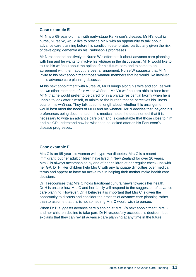#### **Case example E**

Mr N is a 68-year-old man with early-stage Parkinson's disease. Mr N's local iwi nurse, Nurse W, would like to provide Mr N with an opportunity to talk about advance care planning before his condition deteriorates, particularly given the risk of developing dementia as his Parkinson's progresses.

Mr N responded positively to Nurse W's offer to talk about advance care planning with him and he wants to involve his whānau in the discussions. Mr N would like to talk to his whānau about the options for his future care and to come to an agreement with them about the best arrangement. Nurse W suggests that Mr N invite to his next appointment those whānau members that he would like involved in his advance care planning discussion.

At his next appointment with Nurse W, Mr N brings along his wife and son, as well as two other members of his wider whānau. Mr N's whānau are able to hear from Mr N that he would prefer to be cared for in a private residential facility when he is unable to look after himself, to minimise the burden that he perceives his illness puts on his whānau. They talk at some length about whether this arrangement would best meet the needs of Mr N and his whānau. Mr N decides that, beyond his preferences being documented in his medical notes, he does not feel that it is necessary to write an advance care plan and is comfortable that those close to him and his GP understand how he wishes to be looked after as his Parkinson's disease progresses.

#### **Case example F**

Mrs C is an 85-year-old woman with type two diabetes. Mrs C is a recent immigrant, but her adult children have lived in New Zealand for over 20 years. Mrs C is always accompanied by one of her children at her regular check-ups with her GP, Dr H. Her children help Mrs C with any language difficulties over medical terms and appear to have an active role in helping their mother make health care decisions.

Dr H recognises that Mrs C holds traditional cultural views towards her health. Dr H is unsure how Mrs C and her family will respond to the suggestion of advance care planning. However, Dr H believes it is important that Mrs C is given the opportunity to discuss and consider the process of advance care planning rather than to assume that this is not something Mrs C would wish to pursue.

When Dr H suggests advance care planning at Mrs C's next appointment, Mrs C and her children decline to take part. Dr H respectfully accepts this decision, but explains that they can revisit advance care planning at any time in the future.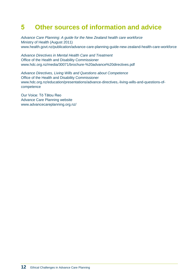# **5 Other sources of information and advice**

*Advance Care Planning: A guide for the New Zealand health care workforce* Ministry of Health (August 2011) [www.health.govt.nz/publication/advance-care-planning-guide-new-zealand-health-care-workforce](http://www.health.govt.nz/publication/advance-care-planning-guide-new-zealand-health-care-workforce)

*Advance Directives in Mental Health Care and Treatment* Office of the Health and Disability Commissioner [www.hdc.org.nz/media/30071/brochure-%20advance%20directives.pdf](http://www.hdc.org.nz/media/30071/brochure-%20advance%20directives.pdf)

*Advance Directives, Living Wills and Questions about Competence* Office of the Health and Disability Commissioner [www.hdc.org.nz/education/presentations/advance-directives,-living-wills-and-questions-of](http://www.hdc.org.nz/education/presentations/advance-directives,-living-wills-and-questions-of-competence)[competence](http://www.hdc.org.nz/education/presentations/advance-directives,-living-wills-and-questions-of-competence)

Our Voice: Tō Tātou Reo Advance Care Planning website [www.advancecareplanning.org.nz/](http://www.advancecareplanning.org.nz/)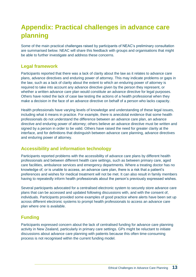# **Appendix: Practical challenges in advance care planning**

Some of the main practical challenges raised by participants of NEAC's preliminary consultation are summarised below. NEAC will share this feedback with groups and organisations that might be able to further investigate and address these concerns.

### **Legal framework**

Participants reported that there was a lack of clarity about the law as it relates to advance care plans, advance directives and enduring power of attorney. This may indicate problems or gaps in the law, such as a lack of clarity about the extent to which an enduring power of attorney is required to take into account any advance directive given by the person they represent, or whether a written advance care plan would constitute an advance directive for legal purposes. Others have noted the lack of case law testing the actions of a health professional when they make a decision in the face of an advance directive on behalf of a person who lacks capacity.

Health professionals have varying levels of knowledge and understanding of these legal issues, including what it means in practice. For example, there is anecdotal evidence that some health professionals do not understand the difference between an advance care plan, an advance directive and enduring power of attorney; others believe an advance directive must be written and signed by a person in order to be valid. Others have raised the need for greater clarity at the interface, and for definitions that distinguish between advance care planning, advance directives and enduring power of attorney.

# **Accessibility and information technology**

Participants reported problems with the accessibility of advance care plans by different health professionals and between different health care settings, such as between primary care, aged care facilities, ambulance services and emergency departments. Where a treating doctor has no knowledge of, or is unable to access, an advance care plan, there is a risk that a patient's preferences and wishes for medical treatment will not be met. It can also result in family members having to repeatedly inform health professionals about the person's previously expressed wishes.

Several participants advocated for a centralised electronic system to securely store advance care plans that can be accessed and updated following discussions with, and with the consent of, individuals. Participants provided some examples of good practice where alerts have been set up across different electronic systems to prompt health professionals to access an advance care plan where one is available.

# **Funding**

Participants expressed concern about the lack of centralised funding for advance care planning activity in New Zealand, particularly in primary care settings. GPs might be reluctant to initiate discussions about advance care planning with patients because this often time-consuming process is not recognised within the current funding model.